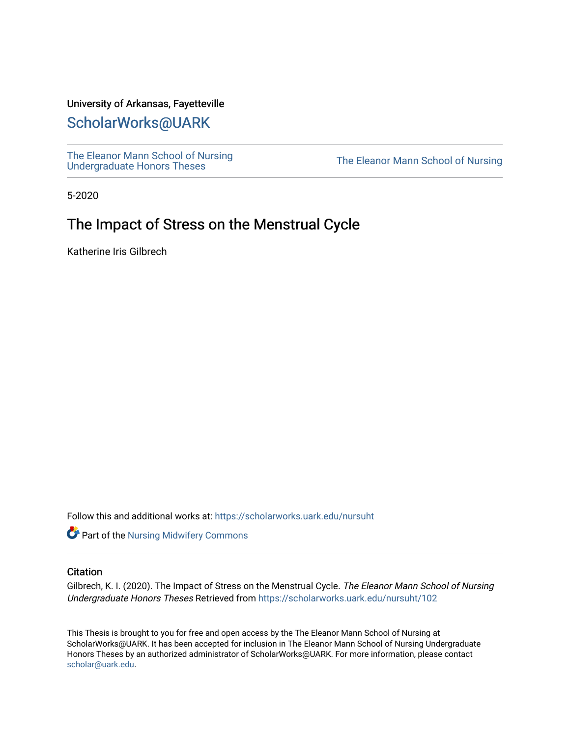# University of Arkansas, Fayetteville

# [ScholarWorks@UARK](https://scholarworks.uark.edu/)

[The Eleanor Mann School of Nursing](https://scholarworks.uark.edu/nursuht)<br>Undergraduate Honors Theses

The Eleanor Mann School of Nursing

5-2020

# The Impact of Stress on the Menstrual Cycle

Katherine Iris Gilbrech

Follow this and additional works at: [https://scholarworks.uark.edu/nursuht](https://scholarworks.uark.edu/nursuht?utm_source=scholarworks.uark.edu%2Fnursuht%2F102&utm_medium=PDF&utm_campaign=PDFCoverPages)

**Part of the Nursing Midwifery Commons** 

#### **Citation**

Gilbrech, K. I. (2020). The Impact of Stress on the Menstrual Cycle. The Eleanor Mann School of Nursing Undergraduate Honors Theses Retrieved from [https://scholarworks.uark.edu/nursuht/102](https://scholarworks.uark.edu/nursuht/102?utm_source=scholarworks.uark.edu%2Fnursuht%2F102&utm_medium=PDF&utm_campaign=PDFCoverPages) 

This Thesis is brought to you for free and open access by the The Eleanor Mann School of Nursing at ScholarWorks@UARK. It has been accepted for inclusion in The Eleanor Mann School of Nursing Undergraduate Honors Theses by an authorized administrator of ScholarWorks@UARK. For more information, please contact [scholar@uark.edu](mailto:scholar@uark.edu).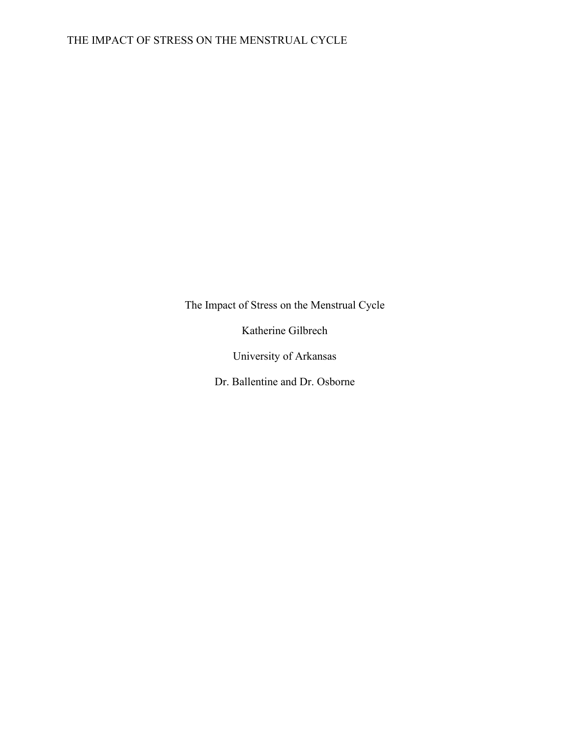The Impact of Stress on the Menstrual Cycle

Katherine Gilbrech

University of Arkansas

Dr. Ballentine and Dr. Osborne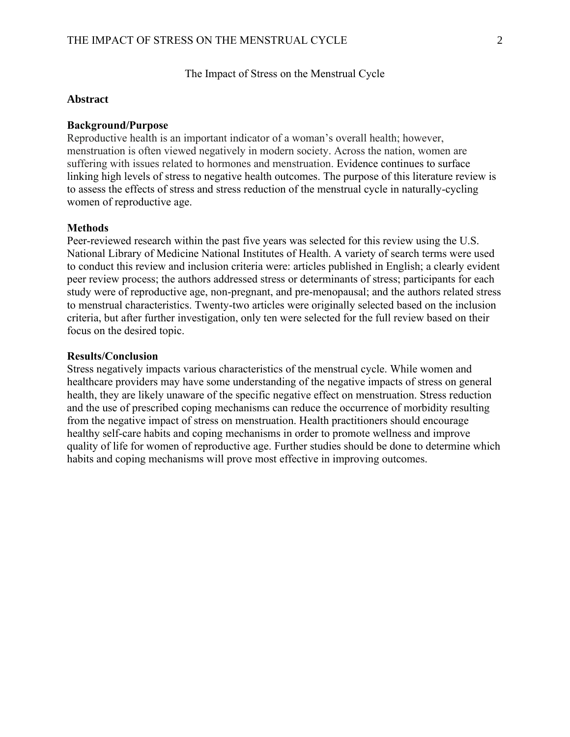The Impact of Stress on the Menstrual Cycle

## **Abstract**

#### **Background/Purpose**

Reproductive health is an important indicator of a woman's overall health; however, menstruation is often viewed negatively in modern society. Across the nation, women are suffering with issues related to hormones and menstruation. Evidence continues to surface linking high levels of stress to negative health outcomes. The purpose of this literature review is to assess the effects of stress and stress reduction of the menstrual cycle in naturally-cycling women of reproductive age.

### **Methods**

Peer-reviewed research within the past five years was selected for this review using the U.S. National Library of Medicine National Institutes of Health. A variety of search terms were used to conduct this review and inclusion criteria were: articles published in English; a clearly evident peer review process; the authors addressed stress or determinants of stress; participants for each study were of reproductive age, non-pregnant, and pre-menopausal; and the authors related stress to menstrual characteristics. Twenty-two articles were originally selected based on the inclusion criteria, but after further investigation, only ten were selected for the full review based on their focus on the desired topic.

#### **Results/Conclusion**

Stress negatively impacts various characteristics of the menstrual cycle. While women and healthcare providers may have some understanding of the negative impacts of stress on general health, they are likely unaware of the specific negative effect on menstruation. Stress reduction and the use of prescribed coping mechanisms can reduce the occurrence of morbidity resulting from the negative impact of stress on menstruation. Health practitioners should encourage healthy self-care habits and coping mechanisms in order to promote wellness and improve quality of life for women of reproductive age. Further studies should be done to determine which habits and coping mechanisms will prove most effective in improving outcomes.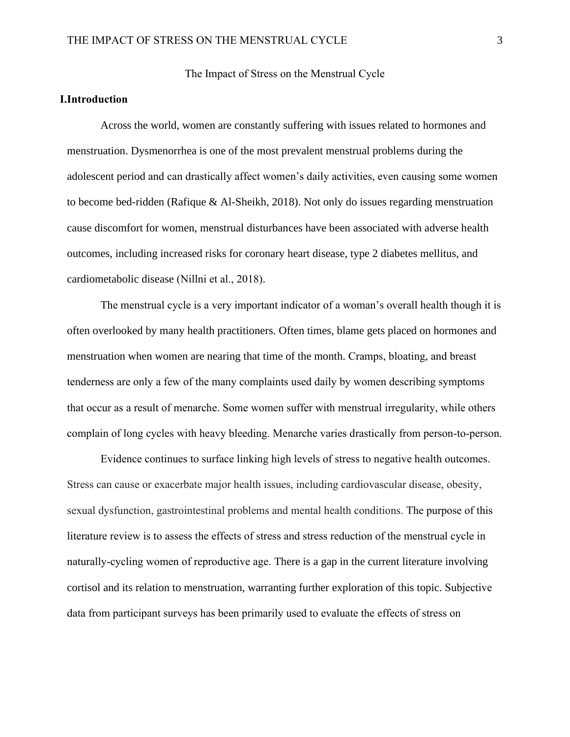The Impact of Stress on the Menstrual Cycle

# **I.Introduction**

Across the world, women are constantly suffering with issues related to hormones and menstruation. Dysmenorrhea is one of the most prevalent menstrual problems during the adolescent period and can drastically affect women's daily activities, even causing some women to become bed-ridden (Rafique & Al-Sheikh, 2018). Not only do issues regarding menstruation cause discomfort for women, menstrual disturbances have been associated with adverse health outcomes, including increased risks for coronary heart disease, type 2 diabetes mellitus, and cardiometabolic disease (Nillni et al., 2018).

The menstrual cycle is a very important indicator of a woman's overall health though it is often overlooked by many health practitioners. Often times, blame gets placed on hormones and menstruation when women are nearing that time of the month. Cramps, bloating, and breast tenderness are only a few of the many complaints used daily by women describing symptoms that occur as a result of menarche. Some women suffer with menstrual irregularity, while others complain of long cycles with heavy bleeding. Menarche varies drastically from person-to-person.

Evidence continues to surface linking high levels of stress to negative health outcomes. Stress can cause or exacerbate major health issues, including cardiovascular disease, obesity, sexual dysfunction, gastrointestinal problems and mental health conditions. The purpose of this literature review is to assess the effects of stress and stress reduction of the menstrual cycle in naturally-cycling women of reproductive age. There is a gap in the current literature involving cortisol and its relation to menstruation, warranting further exploration of this topic. Subjective data from participant surveys has been primarily used to evaluate the effects of stress on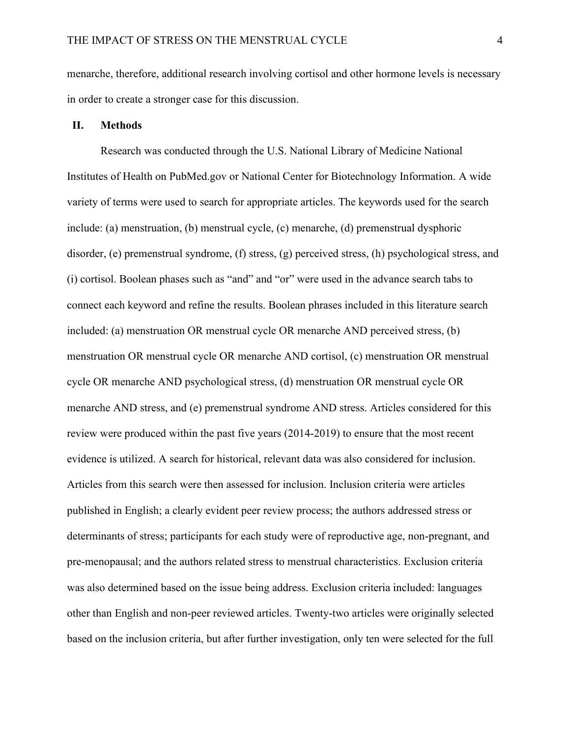menarche, therefore, additional research involving cortisol and other hormone levels is necessary in order to create a stronger case for this discussion.

## **II. Methods**

Research was conducted through the U.S. National Library of Medicine National Institutes of Health on PubMed.gov or National Center for Biotechnology Information. A wide variety of terms were used to search for appropriate articles. The keywords used for the search include: (a) menstruation, (b) menstrual cycle, (c) menarche, (d) premenstrual dysphoric disorder, (e) premenstrual syndrome, (f) stress, (g) perceived stress, (h) psychological stress, and (i) cortisol. Boolean phases such as "and" and "or" were used in the advance search tabs to connect each keyword and refine the results. Boolean phrases included in this literature search included: (a) menstruation OR menstrual cycle OR menarche AND perceived stress, (b) menstruation OR menstrual cycle OR menarche AND cortisol, (c) menstruation OR menstrual cycle OR menarche AND psychological stress, (d) menstruation OR menstrual cycle OR menarche AND stress, and (e) premenstrual syndrome AND stress. Articles considered for this review were produced within the past five years (2014-2019) to ensure that the most recent evidence is utilized. A search for historical, relevant data was also considered for inclusion. Articles from this search were then assessed for inclusion. Inclusion criteria were articles published in English; a clearly evident peer review process; the authors addressed stress or determinants of stress; participants for each study were of reproductive age, non-pregnant, and pre-menopausal; and the authors related stress to menstrual characteristics. Exclusion criteria was also determined based on the issue being address. Exclusion criteria included: languages other than English and non-peer reviewed articles. Twenty-two articles were originally selected based on the inclusion criteria, but after further investigation, only ten were selected for the full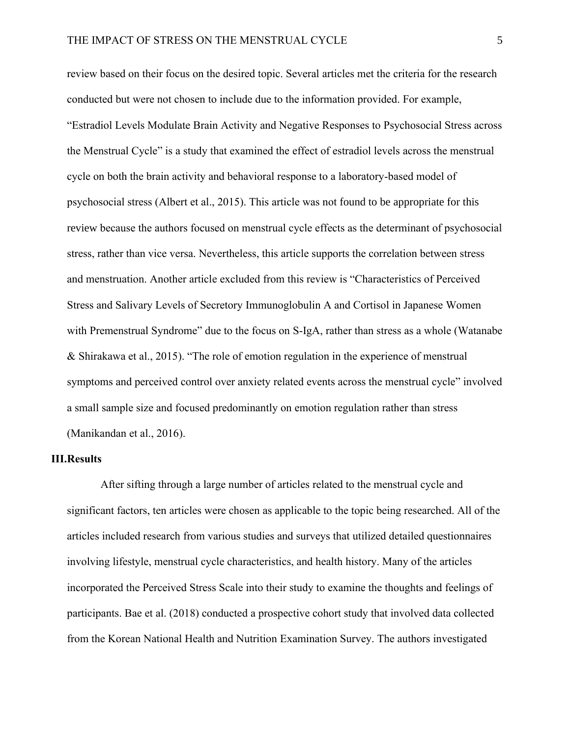review based on their focus on the desired topic. Several articles met the criteria for the research conducted but were not chosen to include due to the information provided. For example, "Estradiol Levels Modulate Brain Activity and Negative Responses to Psychosocial Stress across the Menstrual Cycle" is a study that examined the effect of estradiol levels across the menstrual cycle on both the brain activity and behavioral response to a laboratory-based model of psychosocial stress (Albert et al., 2015). This article was not found to be appropriate for this review because the authors focused on menstrual cycle effects as the determinant of psychosocial stress, rather than vice versa. Nevertheless, this article supports the correlation between stress and menstruation. Another article excluded from this review is "Characteristics of Perceived Stress and Salivary Levels of Secretory Immunoglobulin A and Cortisol in Japanese Women with Premenstrual Syndrome" due to the focus on S-IgA, rather than stress as a whole (Watanabe & Shirakawa et al., 2015). "The role of emotion regulation in the experience of menstrual symptoms and perceived control over anxiety related events across the menstrual cycle" involved a small sample size and focused predominantly on emotion regulation rather than stress (Manikandan et al., 2016).

## **III.Results**

After sifting through a large number of articles related to the menstrual cycle and significant factors, ten articles were chosen as applicable to the topic being researched. All of the articles included research from various studies and surveys that utilized detailed questionnaires involving lifestyle, menstrual cycle characteristics, and health history. Many of the articles incorporated the Perceived Stress Scale into their study to examine the thoughts and feelings of participants. Bae et al. (2018) conducted a prospective cohort study that involved data collected from the Korean National Health and Nutrition Examination Survey. The authors investigated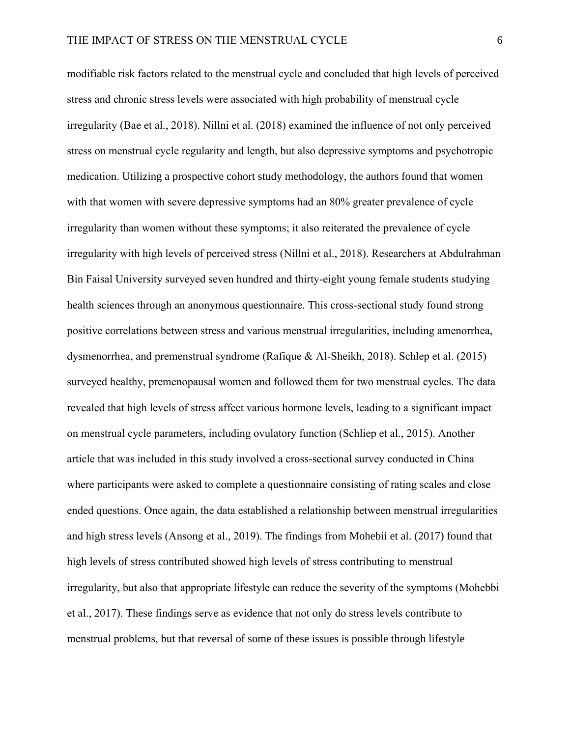modifiable risk factors related to the menstrual cycle and concluded that high levels of perceived stress and chronic stress levels were associated with high probability of menstrual cycle irregularity (Bae et al., 2018). Nillni et al. (2018) examined the influence of not only perceived stress on menstrual cycle regularity and length, but also depressive symptoms and psychotropic medication. Utilizing a prospective cohort study methodology, the authors found that women with that women with severe depressive symptoms had an 80% greater prevalence of cycle irregularity than women without these symptoms; it also reiterated the prevalence of cycle irregularity with high levels of perceived stress (Nillni et al., 2018). Researchers at Abdulrahman Bin Faisal University surveyed seven hundred and thirty-eight young female students studying health sciences through an anonymous questionnaire. This cross-sectional study found strong positive correlations between stress and various menstrual irregularities, including amenorrhea, dysmenorrhea, and premenstrual syndrome (Rafique & Al-Sheikh, 2018). Schlep et al. (2015) surveyed healthy, premenopausal women and followed them for two menstrual cycles. The data revealed that high levels of stress affect various hormone levels, leading to a significant impact on menstrual cycle parameters, including ovulatory function (Schliep et al., 2015). Another article that was included in this study involved a cross-sectional survey conducted in China where participants were asked to complete a questionnaire consisting of rating scales and close ended questions. Once again, the data established a relationship between menstrual irregularities and high stress levels (Ansong et al., 2019). The findings from Mohebii et al. (2017) found that high levels of stress contributed showed high levels of stress contributing to menstrual irregularity, but also that appropriate lifestyle can reduce the severity of the symptoms (Mohebbi et al., 2017). These findings serve as evidence that not only do stress levels contribute to menstrual problems, but that reversal of some of these issues is possible through lifestyle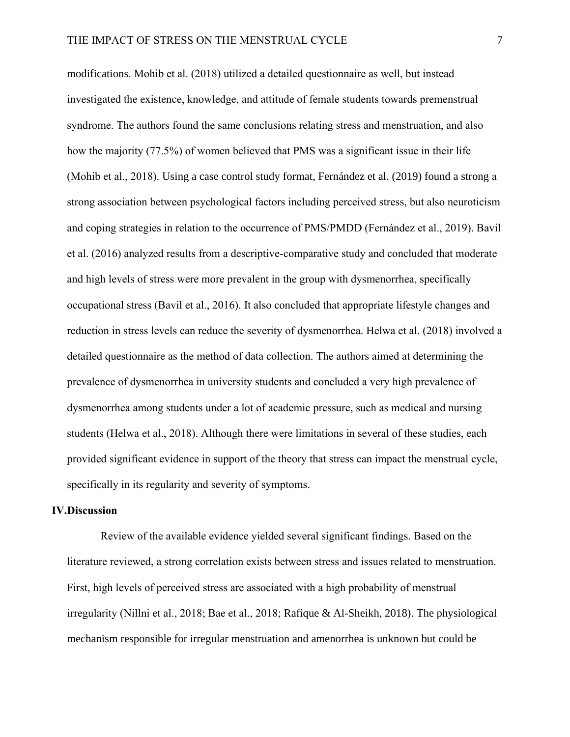modifications. Mohib et al. (2018) utilized a detailed questionnaire as well, but instead investigated the existence, knowledge, and attitude of female students towards premenstrual syndrome. The authors found the same conclusions relating stress and menstruation, and also how the majority (77.5%) of women believed that PMS was a significant issue in their life (Mohib et al., 2018). Using a case control study format, Fernández et al. (2019) found a strong a strong association between psychological factors including perceived stress, but also neuroticism and coping strategies in relation to the occurrence of PMS/PMDD (Fernández et al., 2019). Bavil et al. (2016) analyzed results from a descriptive-comparative study and concluded that moderate and high levels of stress were more prevalent in the group with dysmenorrhea, specifically occupational stress (Bavil et al., 2016). It also concluded that appropriate lifestyle changes and reduction in stress levels can reduce the severity of dysmenorrhea. Helwa et al. (2018) involved a detailed questionnaire as the method of data collection. The authors aimed at determining the prevalence of dysmenorrhea in university students and concluded a very high prevalence of dysmenorrhea among students under a lot of academic pressure, such as medical and nursing students (Helwa et al., 2018). Although there were limitations in several of these studies, each provided significant evidence in support of the theory that stress can impact the menstrual cycle, specifically in its regularity and severity of symptoms.

### **IV.Discussion**

Review of the available evidence yielded several significant findings. Based on the literature reviewed, a strong correlation exists between stress and issues related to menstruation. First, high levels of perceived stress are associated with a high probability of menstrual irregularity (Nillni et al., 2018; Bae et al., 2018; Rafique & Al-Sheikh, 2018). The physiological mechanism responsible for irregular menstruation and amenorrhea is unknown but could be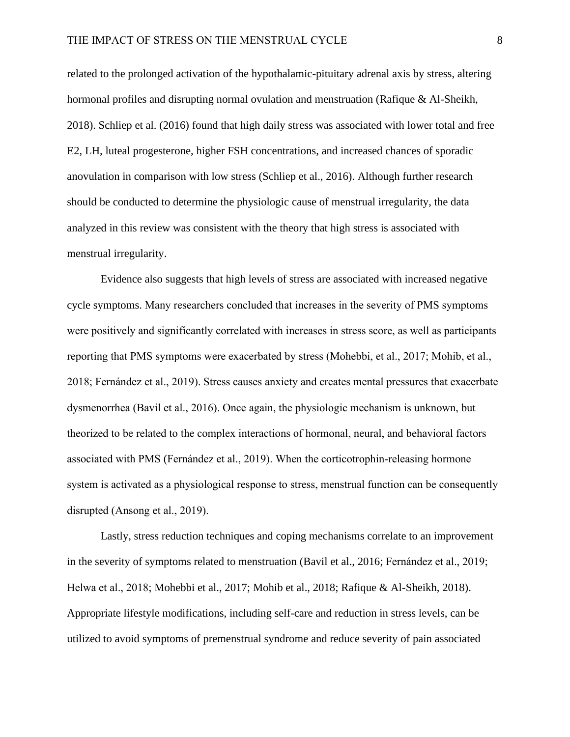related to the prolonged activation of the hypothalamic-pituitary adrenal axis by stress, altering hormonal profiles and disrupting normal ovulation and menstruation (Rafique & Al-Sheikh, 2018). Schliep et al. (2016) found that high daily stress was associated with lower total and free E2, LH, luteal progesterone, higher FSH concentrations, and increased chances of sporadic anovulation in comparison with low stress (Schliep et al., 2016). Although further research should be conducted to determine the physiologic cause of menstrual irregularity, the data analyzed in this review was consistent with the theory that high stress is associated with menstrual irregularity.

Evidence also suggests that high levels of stress are associated with increased negative cycle symptoms. Many researchers concluded that increases in the severity of PMS symptoms were positively and significantly correlated with increases in stress score, as well as participants reporting that PMS symptoms were exacerbated by stress (Mohebbi, et al., 2017; Mohib, et al., 2018; Fernández et al., 2019). Stress causes anxiety and creates mental pressures that exacerbate dysmenorrhea (Bavil et al., 2016). Once again, the physiologic mechanism is unknown, but theorized to be related to the complex interactions of hormonal, neural, and behavioral factors associated with PMS (Fernández et al., 2019). When the corticotrophin-releasing hormone system is activated as a physiological response to stress, menstrual function can be consequently disrupted (Ansong et al., 2019).

Lastly, stress reduction techniques and coping mechanisms correlate to an improvement in the severity of symptoms related to menstruation (Bavil et al., 2016; Fernández et al., 2019; Helwa et al., 2018; Mohebbi et al., 2017; Mohib et al., 2018; Rafique & Al-Sheikh, 2018). Appropriate lifestyle modifications, including self-care and reduction in stress levels, can be utilized to avoid symptoms of premenstrual syndrome and reduce severity of pain associated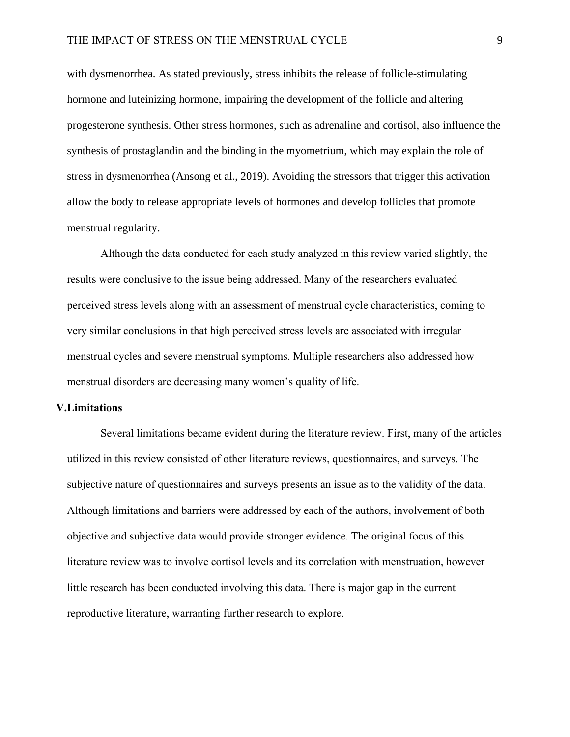with dysmenorrhea. As stated previously, stress inhibits the release of follicle-stimulating hormone and luteinizing hormone, impairing the development of the follicle and altering progesterone synthesis. Other stress hormones, such as adrenaline and cortisol, also influence the synthesis of prostaglandin and the binding in the myometrium, which may explain the role of stress in dysmenorrhea (Ansong et al., 2019). Avoiding the stressors that trigger this activation allow the body to release appropriate levels of hormones and develop follicles that promote menstrual regularity.

Although the data conducted for each study analyzed in this review varied slightly, the results were conclusive to the issue being addressed. Many of the researchers evaluated perceived stress levels along with an assessment of menstrual cycle characteristics, coming to very similar conclusions in that high perceived stress levels are associated with irregular menstrual cycles and severe menstrual symptoms. Multiple researchers also addressed how menstrual disorders are decreasing many women's quality of life.

### **V.Limitations**

Several limitations became evident during the literature review. First, many of the articles utilized in this review consisted of other literature reviews, questionnaires, and surveys. The subjective nature of questionnaires and surveys presents an issue as to the validity of the data. Although limitations and barriers were addressed by each of the authors, involvement of both objective and subjective data would provide stronger evidence. The original focus of this literature review was to involve cortisol levels and its correlation with menstruation, however little research has been conducted involving this data. There is major gap in the current reproductive literature, warranting further research to explore.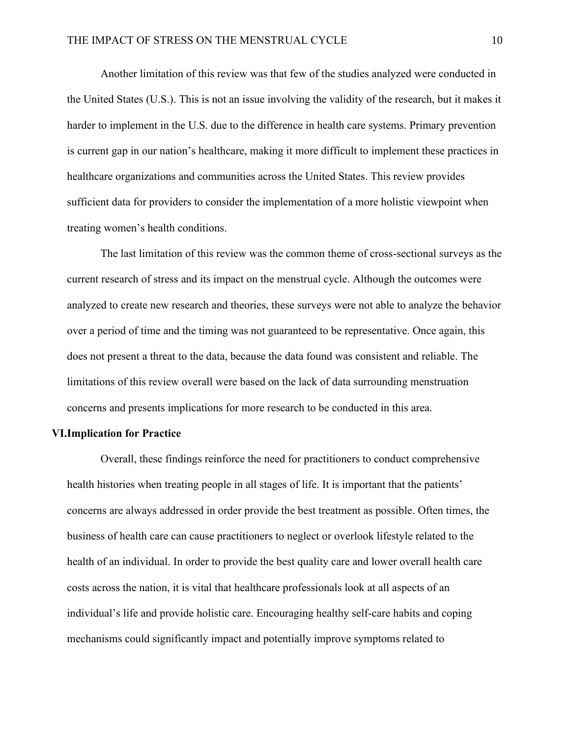Another limitation of this review was that few of the studies analyzed were conducted in the United States (U.S.). This is not an issue involving the validity of the research, but it makes it harder to implement in the U.S. due to the difference in health care systems. Primary prevention is current gap in our nation's healthcare, making it more difficult to implement these practices in healthcare organizations and communities across the United States. This review provides sufficient data for providers to consider the implementation of a more holistic viewpoint when treating women's health conditions.

The last limitation of this review was the common theme of cross-sectional surveys as the current research of stress and its impact on the menstrual cycle. Although the outcomes were analyzed to create new research and theories, these surveys were not able to analyze the behavior over a period of time and the timing was not guaranteed to be representative. Once again, this does not present a threat to the data, because the data found was consistent and reliable. The limitations of this review overall were based on the lack of data surrounding menstruation concerns and presents implications for more research to be conducted in this area.

### **VI.Implication for Practice**

Overall, these findings reinforce the need for practitioners to conduct comprehensive health histories when treating people in all stages of life. It is important that the patients' concerns are always addressed in order provide the best treatment as possible. Often times, the business of health care can cause practitioners to neglect or overlook lifestyle related to the health of an individual. In order to provide the best quality care and lower overall health care costs across the nation, it is vital that healthcare professionals look at all aspects of an individual's life and provide holistic care. Encouraging healthy self-care habits and coping mechanisms could significantly impact and potentially improve symptoms related to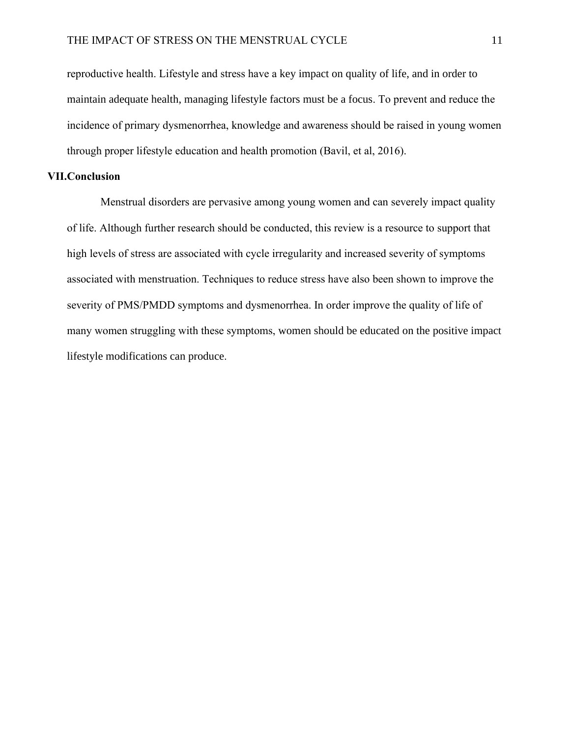reproductive health. Lifestyle and stress have a key impact on quality of life, and in order to maintain adequate health, managing lifestyle factors must be a focus. To prevent and reduce the incidence of primary dysmenorrhea, knowledge and awareness should be raised in young women through proper lifestyle education and health promotion (Bavil, et al, 2016).

# **VII.Conclusion**

Menstrual disorders are pervasive among young women and can severely impact quality of life. Although further research should be conducted, this review is a resource to support that high levels of stress are associated with cycle irregularity and increased severity of symptoms associated with menstruation. Techniques to reduce stress have also been shown to improve the severity of PMS/PMDD symptoms and dysmenorrhea. In order improve the quality of life of many women struggling with these symptoms, women should be educated on the positive impact lifestyle modifications can produce.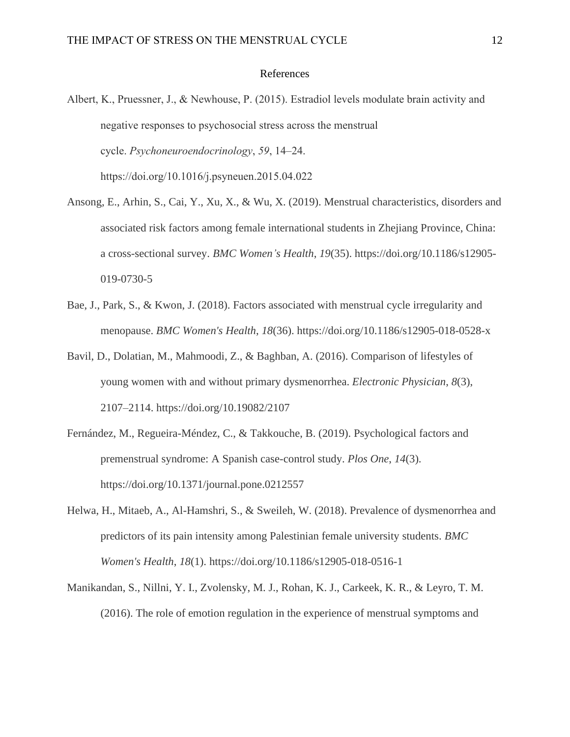### References

- Albert, K., Pruessner, J., & Newhouse, P. (2015). Estradiol levels modulate brain activity and negative responses to psychosocial stress across the menstrual cycle. *Psychoneuroendocrinology*, *59*, 14–24. https://doi.org/10.1016/j.psyneuen.2015.04.022
- Ansong, E., Arhin, S., Cai, Y., Xu, X., & Wu, X. (2019). Menstrual characteristics, disorders and associated risk factors among female international students in Zhejiang Province, China: a cross-sectional survey. *BMC Women's Health*, *19*(35). https://doi.org/10.1186/s12905- 019-0730-5
- Bae, J., Park, S., & Kwon, J. (2018). Factors associated with menstrual cycle irregularity and menopause. *BMC Women's Health*, *18*(36). https://doi.org/10.1186/s12905-018-0528-x
- Bavil, D., Dolatian, M., Mahmoodi, Z., & Baghban, A. (2016). Comparison of lifestyles of young women with and without primary dysmenorrhea. *Electronic Physician*, *8*(3), 2107–2114. https://doi.org/10.19082/2107
- Fernández, M., Regueira-Méndez, C., & Takkouche, B. (2019). Psychological factors and premenstrual syndrome: A Spanish case-control study. *Plos One*, *14*(3). https://doi.org/10.1371/journal.pone.0212557
- Helwa, H., Mitaeb, A., Al-Hamshri, S., & Sweileh, W. (2018). Prevalence of dysmenorrhea and predictors of its pain intensity among Palestinian female university students. *BMC Women's Health*, *18*(1). https://doi.org/10.1186/s12905-018-0516-1
- Manikandan, S., Nillni, Y. I., Zvolensky, M. J., Rohan, K. J., Carkeek, K. R., & Leyro, T. M. (2016). The role of emotion regulation in the experience of menstrual symptoms and